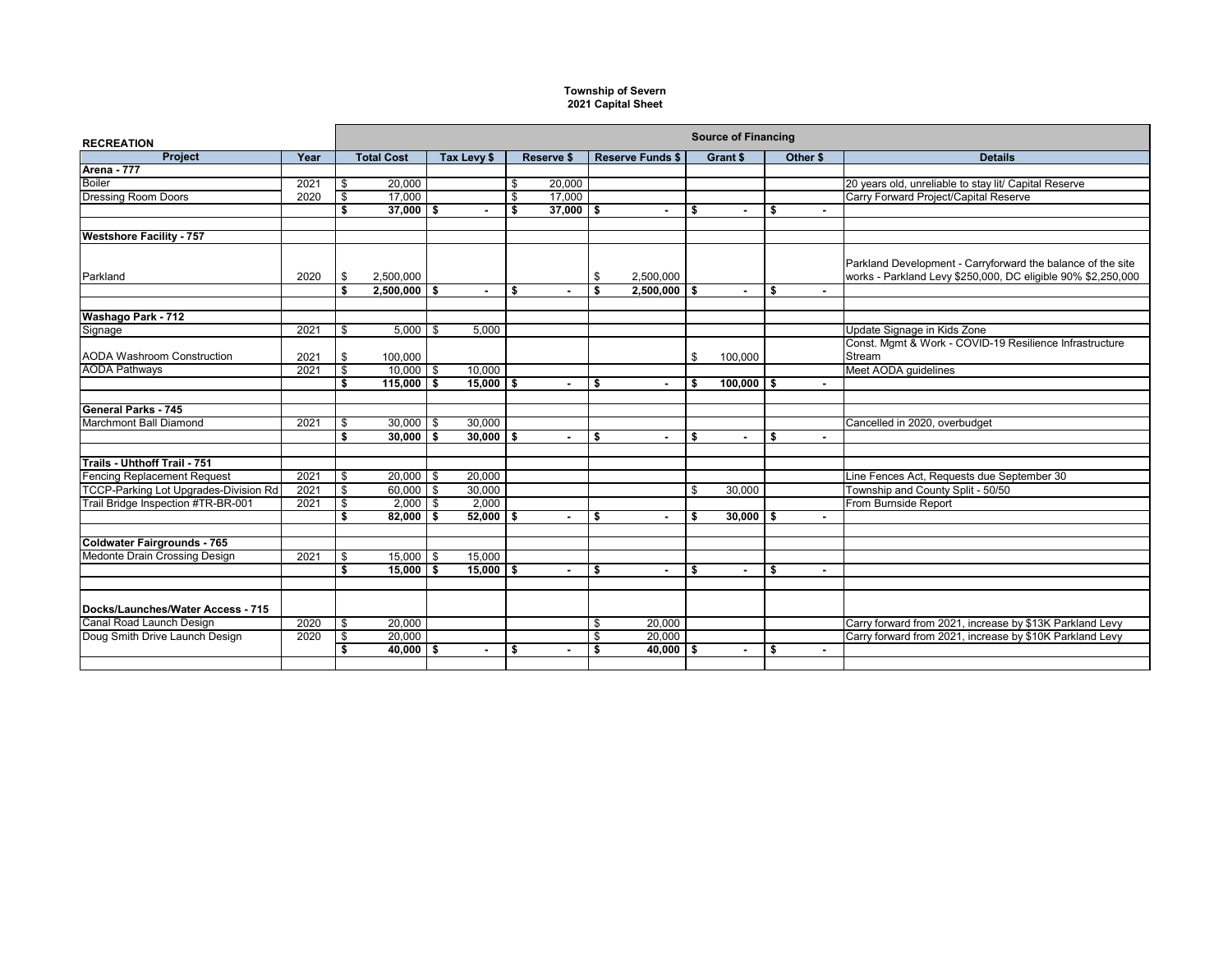## **Township of Severn 2021 Capital Sheet**

| <b>RECREATION</b>                     |      | <b>Source of Financing</b> |                     |             |               |                   |                          |                         |                          |    |                          |    |          |                                                              |
|---------------------------------------|------|----------------------------|---------------------|-------------|---------------|-------------------|--------------------------|-------------------------|--------------------------|----|--------------------------|----|----------|--------------------------------------------------------------|
| <b>Project</b>                        | Year |                            | <b>Total Cost</b>   | Tax Levy \$ |               | <b>Reserve \$</b> |                          | <b>Reserve Funds \$</b> |                          |    | Grant \$                 |    | Other \$ | <b>Details</b>                                               |
| Arena - 777                           |      |                            |                     |             |               |                   |                          |                         |                          |    |                          |    |          |                                                              |
| <b>Boiler</b>                         | 2021 | \$                         | 20,000              |             |               | \$                | 20,000                   |                         |                          |    |                          |    |          | 20 years old, unreliable to stay lit/ Capital Reserve        |
| <b>Dressing Room Doors</b>            | 2020 | \$                         | 17.000              |             |               | \$                | 17,000                   |                         |                          |    |                          |    |          | Carry Forward Project/Capital Reserve                        |
|                                       |      | \$                         | $37,000$ \$         |             |               | \$                | $37,000$ \$              |                         | $\blacksquare$           | Ŝ. |                          | \$ | $\sim$   |                                                              |
| <b>Westshore Facility - 757</b>       |      |                            |                     |             |               |                   |                          |                         |                          |    |                          |    |          |                                                              |
|                                       |      |                            |                     |             |               |                   |                          |                         |                          |    |                          |    |          | Parkland Development - Carryforward the balance of the site  |
| Parkland                              | 2020 | \$                         | 2,500,000           |             |               |                   |                          | \$                      | 2.500.000                |    |                          |    |          | works - Parkland Levy \$250,000, DC eligible 90% \$2,250,000 |
|                                       |      | Ŝ.                         | $2,500,000$ \$      |             |               | \$                | $\sim$                   | Ŝ.                      | $2,500,000$ \$           |    | $\blacksquare$           | \$ |          |                                                              |
| Washago Park - 712                    |      |                            |                     |             |               |                   |                          |                         |                          |    |                          |    |          |                                                              |
| Signage                               | 2021 | \$                         | $5,000$ \ \$        |             | 5,000         |                   |                          |                         |                          |    |                          |    |          | Update Signage in Kids Zone                                  |
|                                       |      |                            |                     |             |               |                   |                          |                         |                          |    |                          |    |          | Const. Mgmt & Work - COVID-19 Resilience Infrastructure      |
| <b>AODA Washroom Construction</b>     | 2021 | \$                         | 100,000             |             |               |                   |                          |                         |                          | \$ | 100,000                  |    |          | Stream                                                       |
| <b>AODA Pathways</b>                  | 2021 | \$                         | $10.000$ $\sqrt{5}$ |             | 10.000        |                   |                          |                         |                          |    |                          |    |          | Meet AODA quidelines                                         |
|                                       |      | \$                         | $115,000$ \$        |             | $15,000$   \$ |                   | $\sim$                   | \$                      | $\sim$                   | s. | $100,000$ \$             |    | $\sim$   |                                                              |
| General Parks - 745                   |      |                            |                     |             |               |                   |                          |                         |                          |    |                          |    |          |                                                              |
| <b>Marchmont Ball Diamond</b>         | 2021 | \$                         | $30,000$ \$         |             | 30,000        |                   |                          |                         |                          |    |                          |    |          | Cancelled in 2020, overbudget                                |
|                                       |      | \$                         | 30,000              | s.          | $30,000$ \$   |                   | $\overline{a}$           | \$                      | $\overline{\phantom{a}}$ | \$ |                          | \$ | $\sim$   |                                                              |
|                                       |      |                            |                     |             |               |                   |                          |                         |                          |    |                          |    |          |                                                              |
| Trails - Uhthoff Trail - 751          |      |                            |                     |             |               |                   |                          |                         |                          |    |                          |    |          |                                                              |
| <b>Fencing Replacement Request</b>    | 2021 | \$                         | $20,000$ \$         |             | 20,000        |                   |                          |                         |                          |    |                          |    |          | Line Fences Act, Requests due September 30                   |
| TCCP-Parking Lot Upgrades-Division Rd | 2021 | \$                         | $60,000$ \$         |             | 30,000        |                   |                          |                         |                          | \$ | 30,000                   |    |          | Township and County Split - 50/50                            |
| Trail Bridge Inspection #TR-BR-001    | 2021 | \$                         | $2,000$ \$          |             | 2.000         |                   |                          |                         |                          |    |                          |    |          | From Burnside Report                                         |
|                                       |      | \$                         | 82.000              | \$          | $52.000$ S    |                   | $\sim$                   | \$                      | $\overline{\phantom{0}}$ | \$ | $30.000$ \$              |    | $\sim$   |                                                              |
|                                       |      |                            |                     |             |               |                   |                          |                         |                          |    |                          |    |          |                                                              |
| <b>Coldwater Fairgrounds - 765</b>    |      |                            |                     |             |               |                   |                          |                         |                          |    |                          |    |          |                                                              |
| Medonte Drain Crossing Design         | 2021 | \$                         | $15,000$ \$         |             | 15,000        |                   |                          |                         |                          |    |                          |    |          |                                                              |
|                                       |      | s,                         | $15,000$ \$         |             | $15,000$   \$ |                   | $\sim$                   | \$                      | $\sim$                   | \$ | $\overline{\phantom{a}}$ | \$ | $\sim$   |                                                              |
|                                       |      |                            |                     |             |               |                   |                          |                         |                          |    |                          |    |          |                                                              |
| Docks/Launches/Water Access - 715     |      |                            |                     |             |               |                   |                          |                         |                          |    |                          |    |          |                                                              |
| Canal Road Launch Design              | 2020 | \$                         | 20.000              |             |               |                   |                          | \$                      | 20.000                   |    |                          |    |          | Carry forward from 2021, increase by \$13K Parkland Levy     |
| Doug Smith Drive Launch Design        | 2020 | s,                         | 20,000              |             |               |                   |                          | \$                      | 20,000                   |    |                          |    |          | Carry forward from 2021, increase by \$10K Parkland Levy     |
|                                       |      | Ŝ.                         | $40,000$ \$         |             |               | \$                | $\overline{\phantom{a}}$ | \$                      | $40,000$ \$              |    | $\blacksquare$           | \$ | $\sim$   |                                                              |
|                                       |      |                            |                     |             |               |                   |                          |                         |                          |    |                          |    |          |                                                              |
|                                       |      |                            |                     |             |               |                   |                          |                         |                          |    |                          |    |          |                                                              |